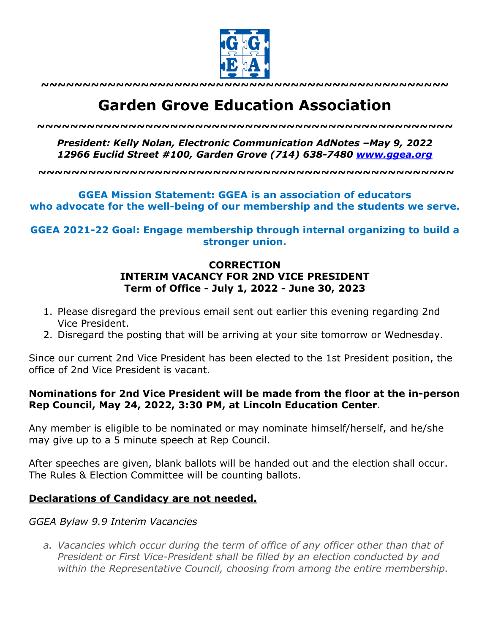

**~~~~~~~~~~~~~~~~~~~~~~~~~~~~~~~~~~~~~~~~~~~~~~~~~**

# **Garden Grove Education Association**

*~~~~~~~~~~~~~~~~~~~~~~~~~~~~~~~~~~~~~~~~~~~~~~~~~~*

*President: Kelly Nolan, Electronic Communication AdNotes –May 9, 2022 12966 Euclid Street #100, Garden Grove (714) 638-7480 www.ggea.org*

**~~~~~~~~~~~~~~~~~~~~~~~~~~~~~~~~~~~~~~~~~~~~~~~~~~**

#### **GGEA Mission Statement: GGEA is an association of educators who advocate for the well-being of our membership and the students we serve.**

**GGEA 2021-22 Goal: Engage membership through internal organizing to build a stronger union.**

## **CORRECTION INTERIM VACANCY FOR 2ND VICE PRESIDENT Term of Office - July 1, 2022 - June 30, 2023**

- 1. Please disregard the previous email sent out earlier this evening regarding 2nd Vice President.
- 2. Disregard the posting that will be arriving at your site tomorrow or Wednesday.

Since our current 2nd Vice President has been elected to the 1st President position, the office of 2nd Vice President is vacant.

## **Nominations for 2nd Vice President will be made from the floor at the in-person Rep Council, May 24, 2022, 3:30 PM, at Lincoln Education Center**.

Any member is eligible to be nominated or may nominate himself/herself, and he/she may give up to a 5 minute speech at Rep Council.

After speeches are given, blank ballots will be handed out and the election shall occur. The Rules & Election Committee will be counting ballots.

## **Declarations of Candidacy are not needed.**

#### *GGEA Bylaw 9.9 Interim Vacancies*

*a. Vacancies which occur during the term of office of any officer other than that of President or First Vice-President shall be filled by an election conducted by and within the Representative Council, choosing from among the entire membership.*